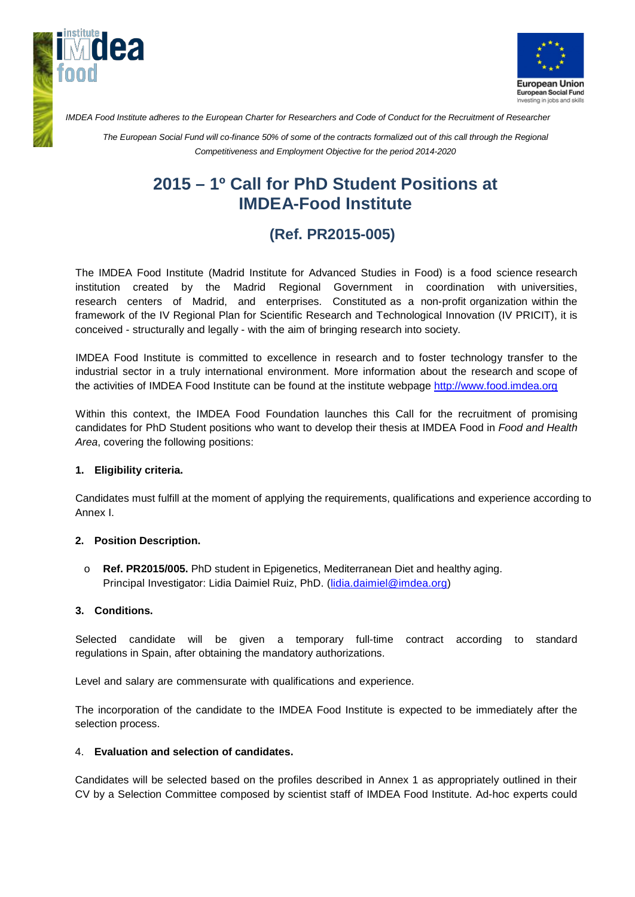



*IMDEA Food Institute adheres to the European Charter for Researchers and Code of Conduct for the Recruitment of Researcher*

*The European Social Fund will co-finance 50% of some of the contracts formalized out of this call through the Regional Competitiveness and Employment Objective for the period 2014-2020*

# **2015 – 1º Call for PhD Student Positions at IMDEA-Food Institute**

## **(Ref. PR2015-005)**

The IMDEA Food Institute (Madrid Institute for Advanced Studies in Food) is a food science research institution created by the Madrid Regional Government in coordination with universities, research centers of Madrid, and enterprises. Constituted as a non-profit organization within the framework of the IV Regional Plan for Scientific Research and Technological Innovation (IV PRICIT), it is conceived - structurally and legally - with the aim of bringing research into society.

IMDEA Food Institute is committed to excellence in research and to foster technology transfer to the industrial sector in a truly international environment. More information about the research and scope of the activities of IMDEA Food Institute can be found at the institute webpage [http://www.food.imdea.org](http://www.food.imdea.org/)

Within this context, the IMDEA Food Foundation launches this Call for the recruitment of promising candidates for PhD Student positions who want to develop their thesis at IMDEA Food in *Food and Health Area*, covering the following positions:

#### **1. Eligibility criteria.**

Candidates must fulfill at the moment of applying the requirements, qualifications and experience according to Annex I.

#### **2. Position Description.**

o **Ref. PR2015/005.** PhD student in Epigenetics, Mediterranean Diet and healthy aging. Principal Investigator: Lidia Daimiel Ruiz, PhD. [\(lidia.daimiel@imdea.org\)](mailto:lidia.daimiel@imdea.org)

#### **3. Conditions.**

Selected candidate will be given a temporary full-time contract according to standard regulations in Spain, after obtaining the mandatory authorizations.

Level and salary are commensurate with qualifications and experience.

The incorporation of the candidate to the IMDEA Food Institute is expected to be immediately after the selection process.

#### 4. **Evaluation and selection of candidates.**

Candidates will be selected based on the profiles described in Annex 1 as appropriately outlined in their CV by a Selection Committee composed by scientist staff of IMDEA Food Institute. Ad-hoc experts could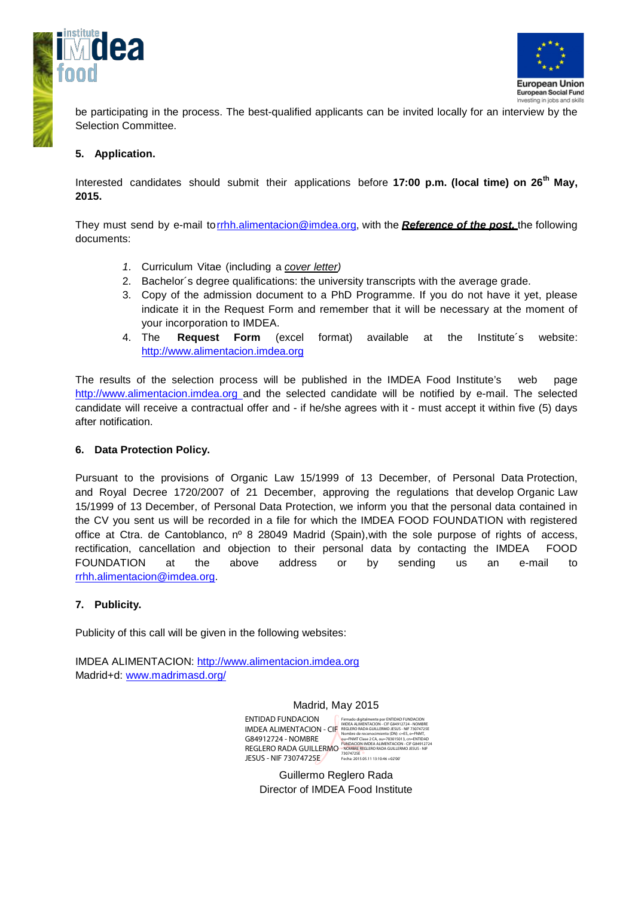



be participating in the process. The best-qualified applicants can be invited locally for an interview by the Selection Committee.

#### **5. Application.**

Interested candidates should submit their applications before **17:00 p.m. (local time) on 26th May, 2015.**

They must send by e-mail torrhh.alimentacion@imdea.org, with the *Reference of the post,* the following documents:

- *1.* Curriculum Vitae (including a *cover letter)*
- 2. Bachelor´s degree qualifications: the university transcripts with the average grade.
- 3. Copy of the admission document to a PhD Programme. If you do not have it yet, please indicate it in the Request Form and remember that it will be necessary at the moment of your incorporation to IMDEA.
- 4. The **Request Form** (excel format) available at the Institute´s website: [http://www.alimentacion.imdea.org](http://www.alimentacion.imdea.org/)

The results of the selection process will be published in the IMDEA Food Institute's web page http://www.alimentacion.imdea.org and the selected candidate will be notified by e-mail. The selected candidate will receive a contractual offer and - if he/she agrees with it - must accept it within five (5) days after notification.

#### **6. Data Protection Policy.**

Pursuant to the provisions of Organic Law 15/1999 of 13 December, of Personal Data Protection, and Royal Decree 1720/2007 of 21 December, approving the regulations that develop Organic Law 15/1999 of 13 December, of Personal Data Protection, we inform you that the personal data contained in the CV you sent us will be recorded in a file for which the IMDEA FOOD FOUNDATION with registered office at Ctra. de Cantoblanco, nº 8 28049 Madrid (Spain),with the sole purpose of rights of access, rectification, cancellation and objection to their personal data by contacting the IMDEA FOOD FOUNDATION at the above address or by sending us an e-mail to [rrhh.alimentacion@imdea.org.](mailto:rrhh.alimentacion@imdea.org)

#### **7. Publicity.**

Publicity of this call will be given in the following websites:

IMDEA ALIMENTACION: http:/[/www.alimentacion.imdea.org](http://www.alimentacion.imdea.org/) Madrid+d: [www.madrimasd.org/](http://www.madrimasd.org/)

Madrid, May 2015

ENTIDAD FUNDACION IMDEA ALIMENTACION - CIF G84912724 - NOMBRE REGLERO RADA GUILLERMO JESUS - NIF 73074725E Firmado digitalmente por ENTIDAD PUNDACION<br>IMDEA ALIMENTACION - CIF G84912724 - NOMBRE<br>REGLERO RADA GUILLERMO JESUS - NIF 73074725E<br>Nombre de reconciemiento (DN): c=E5, o=FMMT,<br>Ou=FMMT Clase 2 CA, ou=703015013, cn=ENTIDAD<br> 73074725E Fecha: 2015.05.11 13:10:46 +02'00'

Guillermo Reglero Rada Director of IMDEA Food Institute